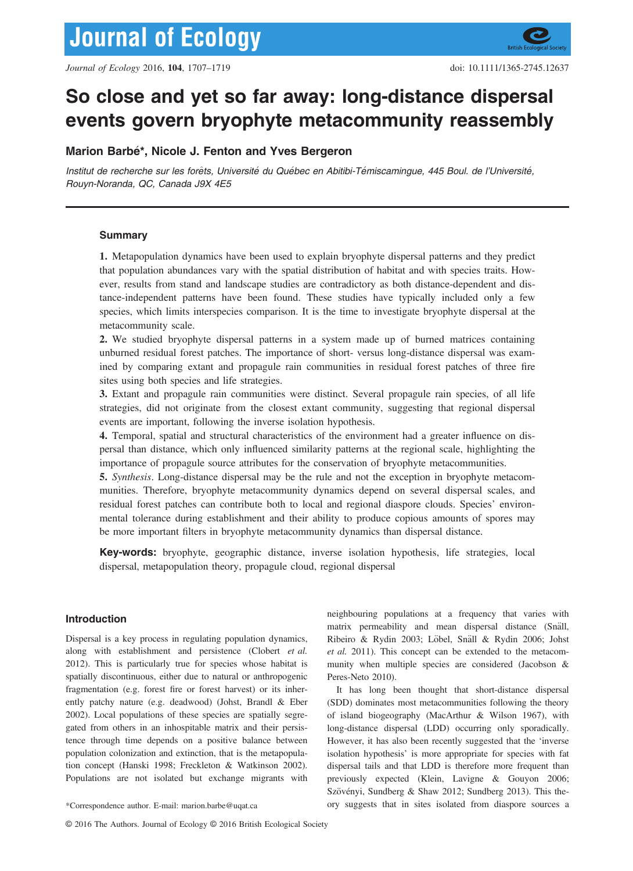# So close and yet so far away: long-distance dispersal events govern bryophyte metacommunity reassembly

# Marion Barbé\*, Nicole J. Fenton and Yves Bergeron

Institut de recherche sur les forêts, Université du Québec en Abitibi-Témiscamingue, 445 Boul. de l'Université, Rouyn-Noranda, QC, Canada J9X 4E5

#### Summary

1. Metapopulation dynamics have been used to explain bryophyte dispersal patterns and they predict that population abundances vary with the spatial distribution of habitat and with species traits. However, results from stand and landscape studies are contradictory as both distance-dependent and distance-independent patterns have been found. These studies have typically included only a few species, which limits interspecies comparison. It is the time to investigate bryophyte dispersal at the metacommunity scale.

2. We studied bryophyte dispersal patterns in a system made up of burned matrices containing unburned residual forest patches. The importance of short- versus long-distance dispersal was examined by comparing extant and propagule rain communities in residual forest patches of three fire sites using both species and life strategies.

3. Extant and propagule rain communities were distinct. Several propagule rain species, of all life strategies, did not originate from the closest extant community, suggesting that regional dispersal events are important, following the inverse isolation hypothesis.

4. Temporal, spatial and structural characteristics of the environment had a greater influence on dispersal than distance, which only influenced similarity patterns at the regional scale, highlighting the importance of propagule source attributes for the conservation of bryophyte metacommunities.

5. Synthesis. Long-distance dispersal may be the rule and not the exception in bryophyte metacommunities. Therefore, bryophyte metacommunity dynamics depend on several dispersal scales, and residual forest patches can contribute both to local and regional diaspore clouds. Species' environmental tolerance during establishment and their ability to produce copious amounts of spores may be more important filters in bryophyte metacommunity dynamics than dispersal distance.

Key-words: bryophyte, geographic distance, inverse isolation hypothesis, life strategies, local dispersal, metapopulation theory, propagule cloud, regional dispersal

#### Introduction

Dispersal is a key process in regulating population dynamics, along with establishment and persistence (Clobert et al. 2012). This is particularly true for species whose habitat is spatially discontinuous, either due to natural or anthropogenic fragmentation (e.g. forest fire or forest harvest) or its inherently patchy nature (e.g. deadwood) (Johst, Brandl & Eber 2002). Local populations of these species are spatially segregated from others in an inhospitable matrix and their persistence through time depends on a positive balance between population colonization and extinction, that is the metapopulation concept (Hanski 1998; Freckleton & Watkinson 2002). Populations are not isolated but exchange migrants with

neighbouring populations at a frequency that varies with matrix permeability and mean dispersal distance (Snäll, Ribeiro & Rydin 2003; Löbel, Snäll & Rydin 2006; Johst et al. 2011). This concept can be extended to the metacommunity when multiple species are considered (Jacobson & Peres-Neto 2010).

It has long been thought that short-distance dispersal (SDD) dominates most metacommunities following the theory of island biogeography (MacArthur & Wilson 1967), with long-distance dispersal (LDD) occurring only sporadically. However, it has also been recently suggested that the 'inverse isolation hypothesis' is more appropriate for species with fat dispersal tails and that LDD is therefore more frequent than previously expected (Klein, Lavigne & Gouyon 2006; Szövényi, Sundberg & Shaw 2012; Sundberg 2013). This the-\*Correspondence author. E-mail: marion.barbe@uqat.ca ory suggests that in sites isolated from diaspore sources a

<sup>©</sup> 2016 The Authors. Journal of Ecology © 2016 British Ecological Society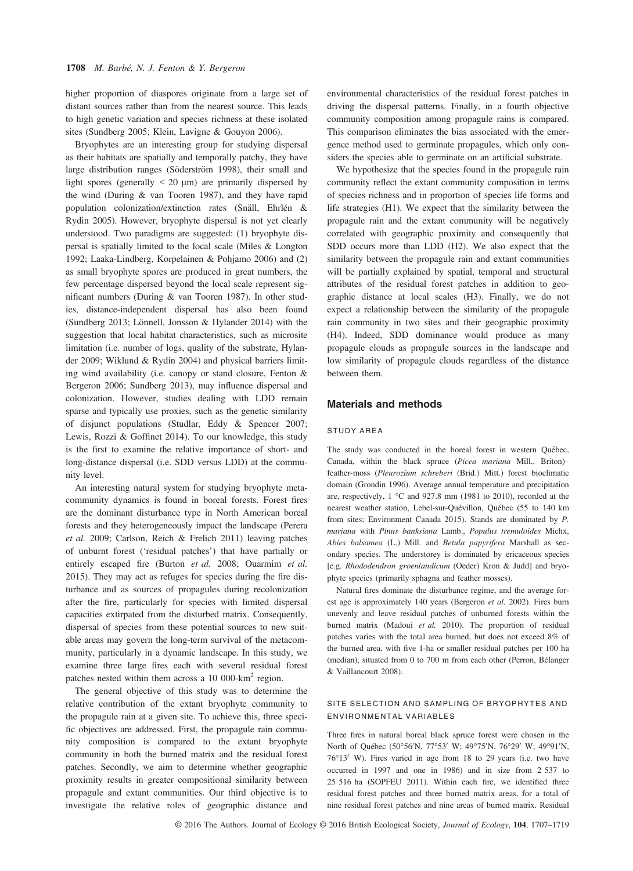higher proportion of diaspores originate from a large set of distant sources rather than from the nearest source. This leads to high genetic variation and species richness at these isolated sites (Sundberg 2005; Klein, Lavigne & Gouyon 2006).

Bryophytes are an interesting group for studying dispersal as their habitats are spatially and temporally patchy, they have large distribution ranges (Söderström 1998), their small and light spores (generally  $\leq 20 \text{ }\mu\text{m}$ ) are primarily dispersed by the wind (During & van Tooren 1987), and they have rapid population colonization/extinction rates (Snäll, Ehrlén & Rydin 2005). However, bryophyte dispersal is not yet clearly understood. Two paradigms are suggested: (1) bryophyte dispersal is spatially limited to the local scale (Miles & Longton 1992; Laaka-Lindberg, Korpelainen & Pohjamo 2006) and (2) as small bryophyte spores are produced in great numbers, the few percentage dispersed beyond the local scale represent significant numbers (During & van Tooren 1987). In other studies, distance-independent dispersal has also been found (Sundberg 2013; Lönnell, Jonsson & Hylander 2014) with the suggestion that local habitat characteristics, such as microsite limitation (i.e. number of logs, quality of the substrate, Hylander 2009; Wiklund & Rydin 2004) and physical barriers limiting wind availability (i.e. canopy or stand closure, Fenton & Bergeron 2006; Sundberg 2013), may influence dispersal and colonization. However, studies dealing with LDD remain sparse and typically use proxies, such as the genetic similarity of disjunct populations (Studlar, Eddy & Spencer 2007; Lewis, Rozzi & Goffinet 2014). To our knowledge, this study is the first to examine the relative importance of short- and long-distance dispersal (i.e. SDD versus LDD) at the community level.

An interesting natural system for studying bryophyte metacommunity dynamics is found in boreal forests. Forest fires are the dominant disturbance type in North American boreal forests and they heterogeneously impact the landscape (Perera et al. 2009; Carlson, Reich & Frelich 2011) leaving patches of unburnt forest ('residual patches') that have partially or entirely escaped fire (Burton et al. 2008; Ouarmim et al. 2015). They may act as refuges for species during the fire disturbance and as sources of propagules during recolonization after the fire, particularly for species with limited dispersal capacities extirpated from the disturbed matrix. Consequently, dispersal of species from these potential sources to new suitable areas may govern the long-term survival of the metacommunity, particularly in a dynamic landscape. In this study, we examine three large fires each with several residual forest patches nested within them across a 10 000-km<sup>2</sup> region.

The general objective of this study was to determine the relative contribution of the extant bryophyte community to the propagule rain at a given site. To achieve this, three specific objectives are addressed. First, the propagule rain community composition is compared to the extant bryophyte community in both the burned matrix and the residual forest patches. Secondly, we aim to determine whether geographic proximity results in greater compositional similarity between propagule and extant communities. Our third objective is to investigate the relative roles of geographic distance and environmental characteristics of the residual forest patches in driving the dispersal patterns. Finally, in a fourth objective community composition among propagule rains is compared. This comparison eliminates the bias associated with the emergence method used to germinate propagules, which only considers the species able to germinate on an artificial substrate.

We hypothesize that the species found in the propagule rain community reflect the extant community composition in terms of species richness and in proportion of species life forms and life strategies (H1). We expect that the similarity between the propagule rain and the extant community will be negatively correlated with geographic proximity and consequently that SDD occurs more than LDD (H2). We also expect that the similarity between the propagule rain and extant communities will be partially explained by spatial, temporal and structural attributes of the residual forest patches in addition to geographic distance at local scales (H3). Finally, we do not expect a relationship between the similarity of the propagule rain community in two sites and their geographic proximity (H4). Indeed, SDD dominance would produce as many propagule clouds as propagule sources in the landscape and low similarity of propagule clouds regardless of the distance between them.

### Materials and methods

#### STUDY AREA

The study was conducted in the boreal forest in western Québec, Canada, within the black spruce (Picea mariana Mill., Briton)– feather-moss (Pleurozium schreberi (Brid.) Mitt.) forest bioclimatic domain (Grondin 1996). Average annual temperature and precipitation are, respectively, 1 °C and 927.8 mm (1981 to 2010), recorded at the nearest weather station, Lebel-sur-Quévillon, Québec (55 to 140 km from sites; Environment Canada 2015). Stands are dominated by P. mariana with Pinus banksiana Lamb., Populus tremuloides Michx, Abies balsamea (L.) Mill. and Betula papyrifera Marshall as secondary species. The understorey is dominated by ericaceous species [e.g. Rhododendron groenlandicum (Oeder) Kron & Judd] and bryophyte species (primarily sphagna and feather mosses).

Natural fires dominate the disturbance regime, and the average forest age is approximately 140 years (Bergeron et al. 2002). Fires burn unevenly and leave residual patches of unburned forests within the burned matrix (Madoui et al. 2010). The proportion of residual patches varies with the total area burned, but does not exceed 8% of the burned area, with five 1-ha or smaller residual patches per 100 ha (median), situated from 0 to 700 m from each other (Perron, Belanger & Vaillancourt 2008).

#### SITE SELECTION AND SAMPLING OF BRYOPHYTES AND ENVIRONMENTAL VARIABLES

Three fires in natural boreal black spruce forest were chosen in the North of Québec (50°56'N, 77°53' W; 49°75'N, 76°29' W; 49°91'N,  $76^{\circ}13'$  W). Fires varied in age from 18 to 29 years (i.e. two have occurred in 1997 and one in 1986) and in size from 2 537 to 25 516 ha (SOPFEU 2011). Within each fire, we identified three residual forest patches and three burned matrix areas, for a total of nine residual forest patches and nine areas of burned matrix. Residual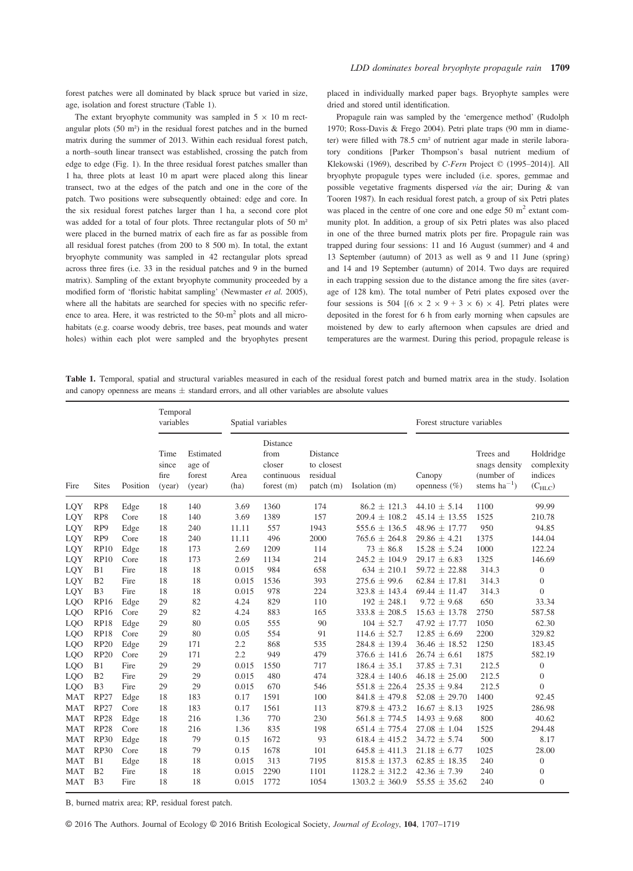forest patches were all dominated by black spruce but varied in size, age, isolation and forest structure (Table 1).

The extant bryophyte community was sampled in  $5 \times 10$  m rectangular plots (50 m²) in the residual forest patches and in the burned matrix during the summer of 2013. Within each residual forest patch, a north–south linear transect was established, crossing the patch from edge to edge (Fig. 1). In the three residual forest patches smaller than 1 ha, three plots at least 10 m apart were placed along this linear transect, two at the edges of the patch and one in the core of the patch. Two positions were subsequently obtained: edge and core. In the six residual forest patches larger than 1 ha, a second core plot was added for a total of four plots. Three rectangular plots of 50 m² were placed in the burned matrix of each fire as far as possible from all residual forest patches (from 200 to 8 500 m). In total, the extant bryophyte community was sampled in 42 rectangular plots spread across three fires (i.e. 33 in the residual patches and 9 in the burned matrix). Sampling of the extant bryophyte community proceeded by a modified form of 'floristic habitat sampling' (Newmaster et al. 2005), where all the habitats are searched for species with no specific reference to area. Here, it was restricted to the  $50\text{-m}^2$  plots and all microhabitats (e.g. coarse woody debris, tree bases, peat mounds and water holes) within each plot were sampled and the bryophytes present

placed in individually marked paper bags. Bryophyte samples were dried and stored until identification.

Propagule rain was sampled by the 'emergence method' (Rudolph 1970; Ross-Davis & Frego 2004). Petri plate traps (90 mm in diameter) were filled with 78.5 cm² of nutrient agar made in sterile laboratory conditions [Parker Thompson's basal nutrient medium of Klekowski (1969), described by C-Fern Project © (1995–2014)]. All bryophyte propagule types were included (i.e. spores, gemmae and possible vegetative fragments dispersed via the air; During & van Tooren 1987). In each residual forest patch, a group of six Petri plates was placed in the centre of one core and one edge  $50 \text{ m}^2$  extant community plot. In addition, a group of six Petri plates was also placed in one of the three burned matrix plots per fire. Propagule rain was trapped during four sessions: 11 and 16 August (summer) and 4 and 13 September (autumn) of 2013 as well as 9 and 11 June (spring) and 14 and 19 September (autumn) of 2014. Two days are required in each trapping session due to the distance among the fire sites (average of 128 km). The total number of Petri plates exposed over the four sessions is 504 [( $6 \times 2 \times 9 + 3 \times 6$ )  $\times$  4]. Petri plates were deposited in the forest for 6 h from early morning when capsules are moistened by dew to early afternoon when capsules are dried and temperatures are the warmest. During this period, propagule release is

Table 1. Temporal, spatial and structural variables measured in each of the residual forest patch and burned matrix area in the study. Isolation and canopy openness are means  $\pm$  standard errors, and all other variables are absolute values

|                 |                 |          | Temporal<br>variables           |                                         | Spatial variables |                                                          |                                                 |                    | Forest structure variables |                                                               |                                                   |
|-----------------|-----------------|----------|---------------------------------|-----------------------------------------|-------------------|----------------------------------------------------------|-------------------------------------------------|--------------------|----------------------------|---------------------------------------------------------------|---------------------------------------------------|
| Fire            | <b>Sites</b>    | Position | Time<br>since<br>fire<br>(year) | Estimated<br>age of<br>forest<br>(year) | Area<br>(ha)      | Distance<br>from<br>closer<br>continuous<br>forest $(m)$ | Distance<br>to closest<br>residual<br>patch (m) | Isolation (m)      | Canopy<br>openness $(\% )$ | Trees and<br>snags density<br>(number of<br>stems $ha^{-1}$ ) | Holdridge<br>complexity<br>indices<br>$(C_{HLC})$ |
| LQY             | RP8             | Edge     | 18                              | 140                                     | 3.69              | 1360                                                     | 174                                             | $86.2 \pm 121.3$   | $44.10 \pm 5.14$           | 1100                                                          | 99.99                                             |
| LQY             | RP8             | Core     | 18                              | 140                                     | 3.69              | 1389                                                     | 157                                             | $209.4 \pm 108.2$  | $45.14 \pm 13.55$          | 1525                                                          | 210.78                                            |
| LQY             | RP <sub>9</sub> | Edge     | 18                              | 240                                     | 11.11             | 557                                                      | 1943                                            | $555.6 \pm 136.5$  | $48.96 \pm 17.77$          | 950                                                           | 94.85                                             |
| LQY             | RP <sub>9</sub> | Core     | 18                              | 240                                     | 11.11             | 496                                                      | 2000                                            | $765.6 \pm 264.8$  | $29.86 \pm 4.21$           | 1375                                                          | 144.04                                            |
| LQY             | RP10            | Edge     | 18                              | 173                                     | 2.69              | 1209                                                     | 114                                             | $73 \pm 86.8$      | $15.28 \pm 5.24$           | 1000                                                          | 122.24                                            |
| LQY             | RP10            | Core     | 18                              | 173                                     | 2.69              | 1134                                                     | 214                                             | $245.2 \pm 104.9$  | $29.17 \pm 6.83$           | 1325                                                          | 146.69                                            |
| LQY             | B1              | Fire     | 18                              | 18                                      | 0.015             | 984                                                      | 658                                             | $634 \pm 210.1$    | 59.72 $\pm$ 22.88          | 314.3                                                         | $\boldsymbol{0}$                                  |
| LQY             | B <sub>2</sub>  | Fire     | 18                              | 18                                      | 0.015             | 1536                                                     | 393                                             | $275.6 \pm 99.6$   | $62.84 \pm 17.81$          | 314.3                                                         | $\boldsymbol{0}$                                  |
| LQY             | B <sub>3</sub>  | Fire     | 18                              | 18                                      | 0.015             | 978                                                      | 224                                             | $323.8 \pm 143.4$  | $69.44 \pm 11.47$          | 314.3                                                         | $\overline{0}$                                    |
| LQ <sub>O</sub> | <b>RP16</b>     | Edge     | 29                              | 82                                      | 4.24              | 829                                                      | 110                                             | $192 \pm 248.1$    | $9.72 \pm 9.68$            | 650                                                           | 33.34                                             |
| LQ <sub>O</sub> | <b>RP16</b>     | Core     | 29                              | 82                                      | 4.24              | 883                                                      | 165                                             | $333.8 \pm 208.5$  | $15.63 \pm 13.78$          | 2750                                                          | 587.58                                            |
| LQ <sub>O</sub> | <b>RP18</b>     | Edge     | 29                              | 80                                      | 0.05              | 555                                                      | 90                                              | $104 \pm 52.7$     | $47.92 \pm 17.77$          | 1050                                                          | 62.30                                             |
| <b>LQO</b>      | <b>RP18</b>     | Core     | 29                              | 80                                      | 0.05              | 554                                                      | 91                                              | $114.6 \pm 52.7$   | $12.85 \pm 6.69$           | 2200                                                          | 329.82                                            |
| <b>LQO</b>      | <b>RP20</b>     | Edge     | 29                              | 171                                     | 2.2               | 868                                                      | 535                                             | $284.8 \pm 139.4$  | $36.46 \pm 18.52$          | 1250                                                          | 183.45                                            |
| <b>LQO</b>      | <b>RP20</b>     | Core     | 29                              | 171                                     | 2.2               | 949                                                      | 479                                             | $376.6 \pm 141.6$  | $26.74 \pm 6.61$           | 1875                                                          | 582.19                                            |
| <b>LQO</b>      | B1              | Fire     | 29                              | 29                                      | 0.015             | 1550                                                     | 717                                             | $186.4 \pm 35.1$   | $37.85 \pm 7.31$           | 212.5                                                         | $\overline{0}$                                    |
| <b>LQO</b>      | B <sub>2</sub>  | Fire     | 29                              | 29                                      | 0.015             | 480                                                      | 474                                             | $328.4 \pm 140.6$  | $46.18 \pm 25.00$          | 212.5                                                         | $\overline{0}$                                    |
| <b>LQO</b>      | B <sub>3</sub>  | Fire     | 29                              | 29                                      | 0.015             | 670                                                      | 546                                             | $551.8 \pm 226.4$  | $25.35 \pm 9.84$           | 212.5                                                         | $\overline{0}$                                    |
| <b>MAT</b>      | <b>RP27</b>     | Edge     | 18                              | 183                                     | 0.17              | 1591                                                     | 100                                             | $841.8 \pm 479.8$  | $52.08 \pm 29.70$          | 1400                                                          | 92.45                                             |
| <b>MAT</b>      | <b>RP27</b>     | Core     | 18                              | 183                                     | 0.17              | 1561                                                     | 113                                             | $879.8 \pm 473.2$  | $16.67 \pm 8.13$           | 1925                                                          | 286.98                                            |
| <b>MAT</b>      | <b>RP28</b>     | Edge     | 18                              | 216                                     | 1.36              | 770                                                      | 230                                             | $561.8 \pm 774.5$  | $14.93 \pm 9.68$           | 800                                                           | 40.62                                             |
| <b>MAT</b>      | <b>RP28</b>     | Core     | 18                              | 216                                     | 1.36              | 835                                                      | 198                                             | $651.4 \pm 775.4$  | $27.08 \pm 1.04$           | 1525                                                          | 294.48                                            |
| <b>MAT</b>      | <b>RP30</b>     | Edge     | 18                              | 79                                      | 0.15              | 1672                                                     | 93                                              | $618.4 \pm 415.2$  | $34.72 \pm 5.74$           | 500                                                           | 8.17                                              |
| <b>MAT</b>      | <b>RP30</b>     | Core     | 18                              | 79                                      | 0.15              | 1678                                                     | 101                                             | $645.8 \pm 411.3$  | $21.18 \pm 6.77$           | 1025                                                          | 28.00                                             |
| <b>MAT</b>      | B1              | Edge     | 18                              | 18                                      | 0.015             | 313                                                      | 7195                                            | $815.8 \pm 137.3$  | $62.85 \pm 18.35$          | 240                                                           | $\boldsymbol{0}$                                  |
| <b>MAT</b>      | B <sub>2</sub>  | Fire     | 18                              | 18                                      | 0.015             | 2290                                                     | 1101                                            | $1128.2 \pm 312.2$ | $42.36 \pm 7.39$           | 240                                                           | $\boldsymbol{0}$                                  |
| <b>MAT</b>      | B <sub>3</sub>  | Fire     | 18                              | 18                                      | 0.015             | 1772                                                     | 1054                                            | $1303.2 \pm 360.9$ | $55.55 \pm 35.62$          | 240                                                           | $\overline{0}$                                    |

B, burned matrix area; RP, residual forest patch.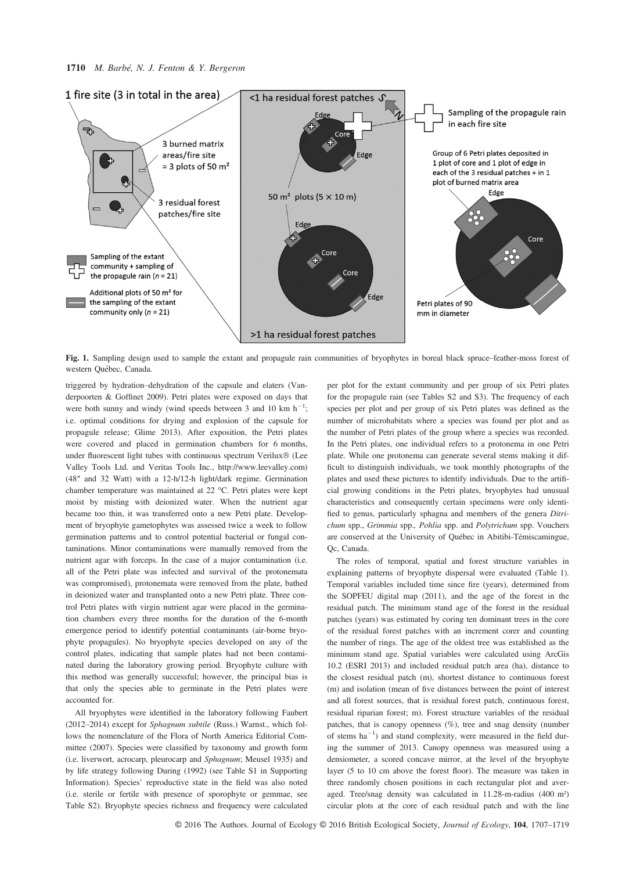

Fig. 1. Sampling design used to sample the extant and propagule rain communities of bryophytes in boreal black spruce–feather-moss forest of western Québec, Canada.

triggered by hydration–dehydration of the capsule and elaters (Vanderpoorten & Goffinet 2009). Petri plates were exposed on days that were both sunny and windy (wind speeds between 3 and 10 km  $h^{-1}$ ; i.e. optimal conditions for drying and explosion of the capsule for propagule release; Glime 2013). After exposition, the Petri plates were covered and placed in germination chambers for 6 months, under fluorescent light tubes with continuous spectrum Verilux® (Lee Valley Tools Ltd. and Veritas Tools Inc., [http://www.leevalley.com\)](http://www.leevalley.com) (48″ and 32 Watt) with a 12-h/12-h light/dark regime. Germination chamber temperature was maintained at 22 °C. Petri plates were kept moist by misting with deionized water. When the nutrient agar became too thin, it was transferred onto a new Petri plate. Development of bryophyte gametophytes was assessed twice a week to follow germination patterns and to control potential bacterial or fungal contaminations. Minor contaminations were manually removed from the nutrient agar with forceps. In the case of a major contamination (i.e. all of the Petri plate was infected and survival of the protonemata was compromised), protonemata were removed from the plate, bathed in deionized water and transplanted onto a new Petri plate. Three control Petri plates with virgin nutrient agar were placed in the germination chambers every three months for the duration of the 6-month emergence period to identify potential contaminants (air-borne bryophyte propagules). No bryophyte species developed on any of the control plates, indicating that sample plates had not been contaminated during the laboratory growing period. Bryophyte culture with this method was generally successful; however, the principal bias is that only the species able to germinate in the Petri plates were accounted for.

All bryophytes were identified in the laboratory following Faubert (2012–2014) except for Sphagnum subtile (Russ.) Warnst., which follows the nomenclature of the Flora of North America Editorial Committee (2007). Species were classified by taxonomy and growth form (i.e. liverwort, acrocarp, pleurocarp and Sphagnum; Meusel 1935) and by life strategy following During (1992) (see Table S1 in Supporting Information). Species' reproductive state in the field was also noted (i.e. sterile or fertile with presence of sporophyte or gemmae, see Table S2). Bryophyte species richness and frequency were calculated per plot for the extant community and per group of six Petri plates for the propagule rain (see Tables S2 and S3). The frequency of each species per plot and per group of six Petri plates was defined as the number of microhabitats where a species was found per plot and as the number of Petri plates of the group where a species was recorded. In the Petri plates, one individual refers to a protonema in one Petri plate. While one protonema can generate several stems making it difficult to distinguish individuals, we took monthly photographs of the plates and used these pictures to identify individuals. Due to the artificial growing conditions in the Petri plates, bryophytes had unusual characteristics and consequently certain specimens were only identified to genus, particularly sphagna and members of the genera Ditrichum spp., Grimmia spp., Pohlia spp. and Polytrichum spp. Vouchers are conserved at the University of Québec in Abitibi-Témiscamingue, Qc, Canada.

The roles of temporal, spatial and forest structure variables in explaining patterns of bryophyte dispersal were evaluated (Table 1). Temporal variables included time since fire (years), determined from the SOPFEU digital map (2011), and the age of the forest in the residual patch. The minimum stand age of the forest in the residual patches (years) was estimated by coring ten dominant trees in the core of the residual forest patches with an increment corer and counting the number of rings. The age of the oldest tree was established as the minimum stand age. Spatial variables were calculated using ArcGis 10.2 (ESRI 2013) and included residual patch area (ha), distance to the closest residual patch (m), shortest distance to continuous forest (m) and isolation (mean of five distances between the point of interest and all forest sources, that is residual forest patch, continuous forest, residual riparian forest; m). Forest structure variables of the residual patches, that is canopy openness (%), tree and snag density (number of stems  $ha^{-1}$ ) and stand complexity, were measured in the field during the summer of 2013. Canopy openness was measured using a densiometer, a scored concave mirror, at the level of the bryophyte layer (5 to 10 cm above the forest floor). The measure was taken in three randomly chosen positions in each rectangular plot and averaged. Tree/snag density was calculated in 11.28-m-radius (400 m²) circular plots at the core of each residual patch and with the line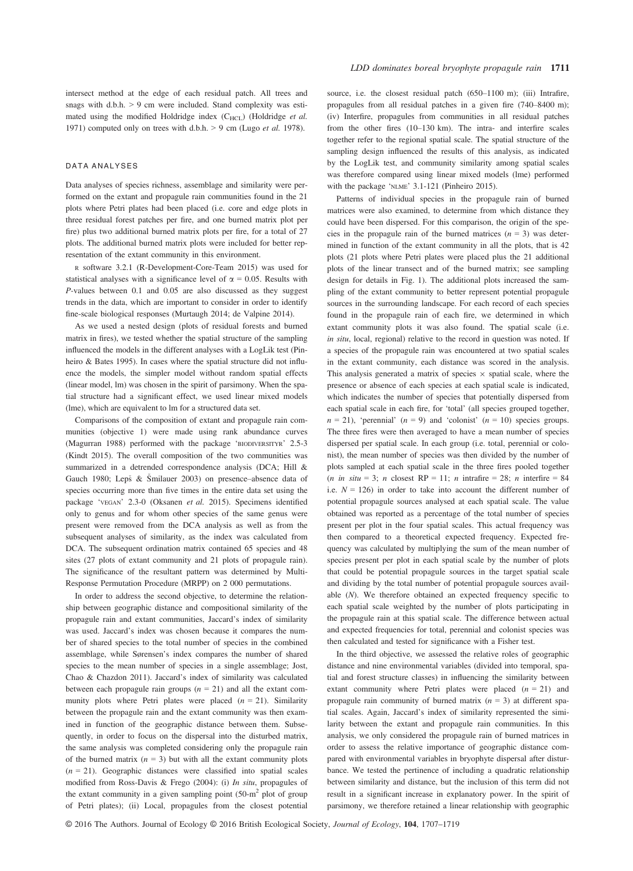intersect method at the edge of each residual patch. All trees and snags with  $d.b.h. > 9$  cm were included. Stand complexity was estimated using the modified Holdridge index  $(C_{\text{HCI}})$  (Holdridge *et al.*) 1971) computed only on trees with d.b.h.  $> 9$  cm (Lugo *et al.* 1978).

#### DATA ANALYSES

Data analyses of species richness, assemblage and similarity were performed on the extant and propagule rain communities found in the 21 plots where Petri plates had been placed (i.e. core and edge plots in three residual forest patches per fire, and one burned matrix plot per fire) plus two additional burned matrix plots per fire, for a total of 27 plots. The additional burned matrix plots were included for better representation of the extant community in this environment.

<sup>R</sup> software 3.2.1 (R-Development-Core-Team 2015) was used for statistical analyses with a significance level of  $\alpha = 0.05$ . Results with P-values between 0.1 and 0.05 are also discussed as they suggest trends in the data, which are important to consider in order to identify fine-scale biological responses (Murtaugh 2014; de Valpine 2014).

As we used a nested design (plots of residual forests and burned matrix in fires), we tested whether the spatial structure of the sampling influenced the models in the different analyses with a LogLik test (Pinheiro & Bates 1995). In cases where the spatial structure did not influence the models, the simpler model without random spatial effects (linear model, lm) was chosen in the spirit of parsimony. When the spatial structure had a significant effect, we used linear mixed models (lme), which are equivalent to lm for a structured data set.

Comparisons of the composition of extant and propagule rain communities (objective 1) were made using rank abundance curves (Magurran 1988) performed with the package 'BIODIVERSITYR' 2.5-3 (Kindt 2015). The overall composition of the two communities was summarized in a detrended correspondence analysis (DCA; Hill & Gauch 1980; Lepš & Šmilauer 2003) on presence-absence data of species occurring more than five times in the entire data set using the package 'VEGAN' 2.3-0 (Oksanen et al. 2015). Specimens identified only to genus and for whom other species of the same genus were present were removed from the DCA analysis as well as from the subsequent analyses of similarity, as the index was calculated from DCA. The subsequent ordination matrix contained 65 species and 48 sites (27 plots of extant community and 21 plots of propagule rain). The significance of the resultant pattern was determined by Multi-Response Permutation Procedure (MRPP) on 2 000 permutations.

In order to address the second objective, to determine the relationship between geographic distance and compositional similarity of the propagule rain and extant communities, Jaccard's index of similarity was used. Jaccard's index was chosen because it compares the number of shared species to the total number of species in the combined assemblage, while Sørensen's index compares the number of shared species to the mean number of species in a single assemblage; Jost, Chao & Chazdon 2011). Jaccard's index of similarity was calculated between each propagule rain groups  $(n = 21)$  and all the extant community plots where Petri plates were placed  $(n = 21)$ . Similarity between the propagule rain and the extant community was then examined in function of the geographic distance between them. Subsequently, in order to focus on the dispersal into the disturbed matrix, the same analysis was completed considering only the propagule rain of the burned matrix  $(n = 3)$  but with all the extant community plots  $(n = 21)$ . Geographic distances were classified into spatial scales modified from Ross-Davis & Frego (2004): (i) In situ, propagules of the extant community in a given sampling point  $(50-m^2)$  plot of group of Petri plates); (ii) Local, propagules from the closest potential

source, i.e. the closest residual patch (650–1100 m); (iii) Intrafire, propagules from all residual patches in a given fire (740–8400 m); (iv) Interfire, propagules from communities in all residual patches from the other fires (10–130 km). The intra- and interfire scales together refer to the regional spatial scale. The spatial structure of the sampling design influenced the results of this analysis, as indicated by the LogLik test, and community similarity among spatial scales was therefore compared using linear mixed models (lme) performed with the package 'NLME' 3.1-121 (Pinheiro 2015).

Patterns of individual species in the propagule rain of burned matrices were also examined, to determine from which distance they could have been dispersed. For this comparison, the origin of the species in the propagule rain of the burned matrices  $(n = 3)$  was determined in function of the extant community in all the plots, that is 42 plots (21 plots where Petri plates were placed plus the 21 additional plots of the linear transect and of the burned matrix; see sampling design for details in Fig. 1). The additional plots increased the sampling of the extant community to better represent potential propagule sources in the surrounding landscape. For each record of each species found in the propagule rain of each fire, we determined in which extant community plots it was also found. The spatial scale (i.e. in situ, local, regional) relative to the record in question was noted. If a species of the propagule rain was encountered at two spatial scales in the extant community, each distance was scored in the analysis. This analysis generated a matrix of species  $\times$  spatial scale, where the presence or absence of each species at each spatial scale is indicated, which indicates the number of species that potentially dispersed from each spatial scale in each fire, for 'total' (all species grouped together,  $n = 21$ , 'perennial'  $(n = 9)$  and 'colonist'  $(n = 10)$  species groups. The three fires were then averaged to have a mean number of species dispersed per spatial scale. In each group (i.e. total, perennial or colonist), the mean number of species was then divided by the number of plots sampled at each spatial scale in the three fires pooled together (*n* in situ = 3; *n* closest RP = 11; *n* intrafire = 28; *n* interfire = 84 i.e.  $N = 126$ ) in order to take into account the different number of potential propagule sources analysed at each spatial scale. The value obtained was reported as a percentage of the total number of species present per plot in the four spatial scales. This actual frequency was then compared to a theoretical expected frequency. Expected frequency was calculated by multiplying the sum of the mean number of species present per plot in each spatial scale by the number of plots that could be potential propagule sources in the target spatial scale and dividing by the total number of potential propagule sources available (N). We therefore obtained an expected frequency specific to each spatial scale weighted by the number of plots participating in the propagule rain at this spatial scale. The difference between actual and expected frequencies for total, perennial and colonist species was then calculated and tested for significance with a Fisher test.

In the third objective, we assessed the relative roles of geographic distance and nine environmental variables (divided into temporal, spatial and forest structure classes) in influencing the similarity between extant community where Petri plates were placed  $(n = 21)$  and propagule rain community of burned matrix  $(n = 3)$  at different spatial scales. Again, Jaccard's index of similarity represented the similarity between the extant and propagule rain communities. In this analysis, we only considered the propagule rain of burned matrices in order to assess the relative importance of geographic distance compared with environmental variables in bryophyte dispersal after disturbance. We tested the pertinence of including a quadratic relationship between similarity and distance, but the inclusion of this term did not result in a significant increase in explanatory power. In the spirit of parsimony, we therefore retained a linear relationship with geographic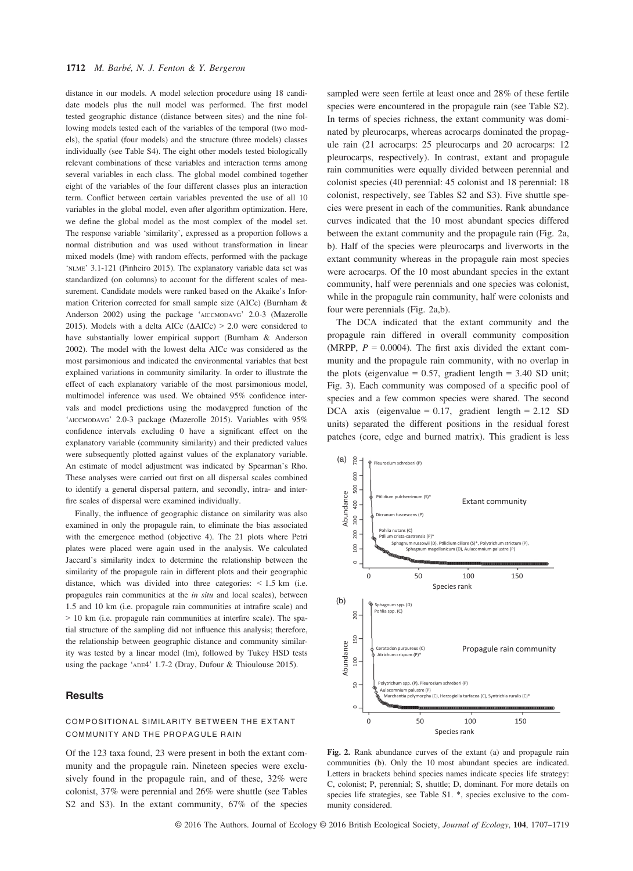distance in our models. A model selection procedure using 18 candidate models plus the null model was performed. The first model tested geographic distance (distance between sites) and the nine following models tested each of the variables of the temporal (two models), the spatial (four models) and the structure (three models) classes individually (see Table S4). The eight other models tested biologically relevant combinations of these variables and interaction terms among several variables in each class. The global model combined together eight of the variables of the four different classes plus an interaction term. Conflict between certain variables prevented the use of all 10 variables in the global model, even after algorithm optimization. Here, we define the global model as the most complex of the model set. The response variable 'similarity', expressed as a proportion follows a normal distribution and was used without transformation in linear mixed models (lme) with random effects, performed with the package 'NLME' 3.1-121 (Pinheiro 2015). The explanatory variable data set was standardized (on columns) to account for the different scales of measurement. Candidate models were ranked based on the Akaike's Information Criterion corrected for small sample size (AICc) (Burnham & Anderson 2002) using the package 'AICCMODAVG' 2.0-3 (Mazerolle 2015). Models with a delta AICc (ΔAICc) > 2.0 were considered to have substantially lower empirical support (Burnham & Anderson 2002). The model with the lowest delta AICc was considered as the most parsimonious and indicated the environmental variables that best explained variations in community similarity. In order to illustrate the effect of each explanatory variable of the most parsimonious model, multimodel inference was used. We obtained 95% confidence intervals and model predictions using the modavgpred function of the 'AICCMODAVG' 2.0-3 package (Mazerolle 2015). Variables with 95% confidence intervals excluding 0 have a significant effect on the explanatory variable (community similarity) and their predicted values were subsequently plotted against values of the explanatory variable. An estimate of model adjustment was indicated by Spearman's Rho. These analyses were carried out first on all dispersal scales combined to identify a general dispersal pattern, and secondly, intra- and interfire scales of dispersal were examined individually.

Finally, the influence of geographic distance on similarity was also examined in only the propagule rain, to eliminate the bias associated with the emergence method (objective 4). The 21 plots where Petri plates were placed were again used in the analysis. We calculated Jaccard's similarity index to determine the relationship between the similarity of the propagule rain in different plots and their geographic distance, which was divided into three categories: < 1.5 km (i.e. propagules rain communities at the in situ and local scales), between 1.5 and 10 km (i.e. propagule rain communities at intrafire scale) and > 10 km (i.e. propagule rain communities at interfire scale). The spatial structure of the sampling did not influence this analysis; therefore, the relationship between geographic distance and community similarity was tested by a linear model (lm), followed by Tukey HSD tests using the package 'ADE4' 1.7-2 (Dray, Dufour & Thioulouse 2015).

#### **Results**

#### COMPOSITIONAL SIMILARITY BETWEEN THE EXTANT COMMUNITY AND THE PROPAGULE RAIN

Of the 123 taxa found, 23 were present in both the extant community and the propagule rain. Nineteen species were exclusively found in the propagule rain, and of these, 32% were colonist, 37% were perennial and 26% were shuttle (see Tables S2 and S3). In the extant community,  $67\%$  of the species sampled were seen fertile at least once and 28% of these fertile species were encountered in the propagule rain (see Table S2). In terms of species richness, the extant community was dominated by pleurocarps, whereas acrocarps dominated the propagule rain (21 acrocarps: 25 pleurocarps and 20 acrocarps: 12 pleurocarps, respectively). In contrast, extant and propagule rain communities were equally divided between perennial and colonist species (40 perennial: 45 colonist and 18 perennial: 18 colonist, respectively, see Tables S2 and S3). Five shuttle species were present in each of the communities. Rank abundance curves indicated that the 10 most abundant species differed between the extant community and the propagule rain (Fig. 2a, b). Half of the species were pleurocarps and liverworts in the extant community whereas in the propagule rain most species were acrocarps. Of the 10 most abundant species in the extant community, half were perennials and one species was colonist, while in the propagule rain community, half were colonists and four were perennials (Fig. 2a,b).

The DCA indicated that the extant community and the propagule rain differed in overall community composition (MRPP,  $P = 0.0004$ ). The first axis divided the extant community and the propagule rain community, with no overlap in the plots (eigenvalue  $= 0.57$ , gradient length  $= 3.40$  SD unit; Fig. 3). Each community was composed of a specific pool of species and a few common species were shared. The second DCA axis (eigenvalue =  $0.17$ , gradient length =  $2.12$  SD units) separated the different positions in the residual forest patches (core, edge and burned matrix). This gradient is less



Fig. 2. Rank abundance curves of the extant (a) and propagule rain communities (b). Only the 10 most abundant species are indicated. Letters in brackets behind species names indicate species life strategy: C, colonist; P, perennial; S, shuttle; D, dominant. For more details on species life strategies, see Table S1. \*, species exclusive to the community considered.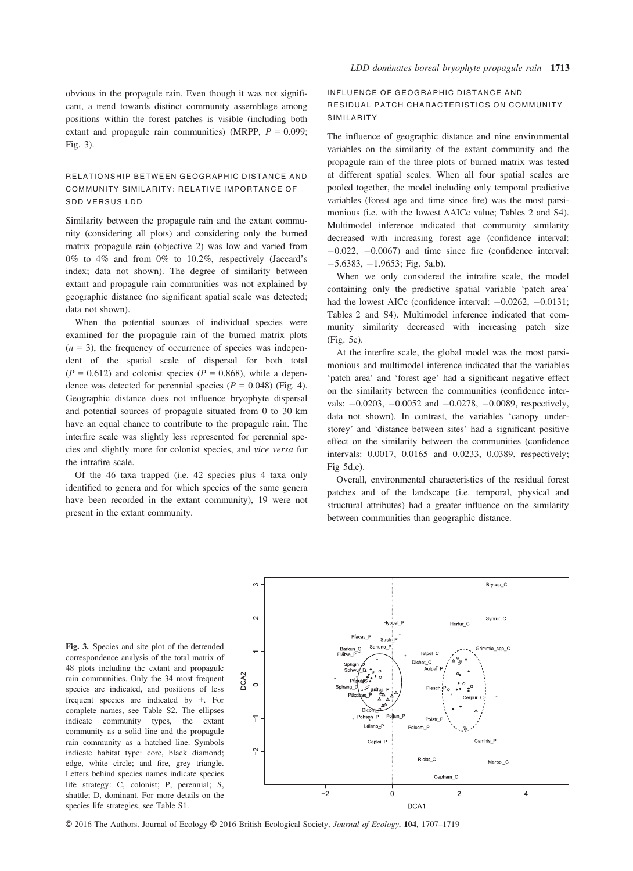obvious in the propagule rain. Even though it was not significant, a trend towards distinct community assemblage among positions within the forest patches is visible (including both extant and propagule rain communities) (MRPP,  $P = 0.099$ ; Fig. 3).

# RELATIONSHIP BETWEEN GEOGRAPHIC DISTANCE AND COMMUNITY SIMILARITY: RELATIVE IMPORTANCE OF SDD VERSUS LDD

Similarity between the propagule rain and the extant community (considering all plots) and considering only the burned matrix propagule rain (objective 2) was low and varied from 0% to 4% and from 0% to 10.2%, respectively (Jaccard's index; data not shown). The degree of similarity between extant and propagule rain communities was not explained by geographic distance (no significant spatial scale was detected; data not shown).

When the potential sources of individual species were examined for the propagule rain of the burned matrix plots  $(n = 3)$ , the frequency of occurrence of species was independent of the spatial scale of dispersal for both total  $(P = 0.612)$  and colonist species  $(P = 0.868)$ , while a dependence was detected for perennial species ( $P = 0.048$ ) (Fig. 4). Geographic distance does not influence bryophyte dispersal and potential sources of propagule situated from 0 to 30 km have an equal chance to contribute to the propagule rain. The interfire scale was slightly less represented for perennial species and slightly more for colonist species, and vice versa for the intrafire scale.

Of the 46 taxa trapped (i.e. 42 species plus 4 taxa only identified to genera and for which species of the same genera have been recorded in the extant community), 19 were not present in the extant community.

### INFLUENCE OF GEOGRAPHIC DISTANCE AND RESIDUAL PATCH CHARACTERISTICS ON COMMUNITY SIMILARITY

The influence of geographic distance and nine environmental variables on the similarity of the extant community and the propagule rain of the three plots of burned matrix was tested at different spatial scales. When all four spatial scales are pooled together, the model including only temporal predictive variables (forest age and time since fire) was the most parsimonious (i.e. with the lowest ΔAICc value; Tables 2 and S4). Multimodel inference indicated that community similarity decreased with increasing forest age (confidence interval:  $-0.022$ ,  $-0.0067$ ) and time since fire (confidence interval:  $-5.6383, -1.9653$ ; Fig. 5a,b).

When we only considered the intrafire scale, the model containing only the predictive spatial variable 'patch area' had the lowest AICc (confidence interval:  $-0.0262$ ,  $-0.0131$ ; Tables 2 and S4). Multimodel inference indicated that community similarity decreased with increasing patch size (Fig. 5c).

At the interfire scale, the global model was the most parsimonious and multimodel inference indicated that the variables 'patch area' and 'forest age' had a significant negative effect on the similarity between the communities (confidence intervals:  $-0.0203$ ,  $-0.0052$  and  $-0.0278$ ,  $-0.0089$ , respectively, data not shown). In contrast, the variables 'canopy understorey' and 'distance between sites' had a significant positive effect on the similarity between the communities (confidence intervals: 0.0017, 0.0165 and 0.0233, 0.0389, respectively; Fig 5d,e).

Overall, environmental characteristics of the residual forest patches and of the landscape (i.e. temporal, physical and structural attributes) had a greater influence on the similarity between communities than geographic distance.

Fig. 3. Species and site plot of the detrended correspondence analysis of the total matrix of 48 plots including the extant and propagule rain communities. Only the 34 most frequent species are indicated, and positions of less frequent species are indicated by +. For complete names, see Table S2. The ellipses indicate community types, the extant community as a solid line and the propagule rain community as a hatched line. Symbols indicate habitat type: core, black diamond; edge, white circle; and fire, grey triangle. Letters behind species names indicate species life strategy: C, colonist; P, perennial; S, shuttle; D, dominant. For more details on the species life strategies, see Table S1.



© 2016 The Authors. Journal of Ecology © 2016 British Ecological Society, Journal of Ecology, 104, 1707–<sup>1719</sup>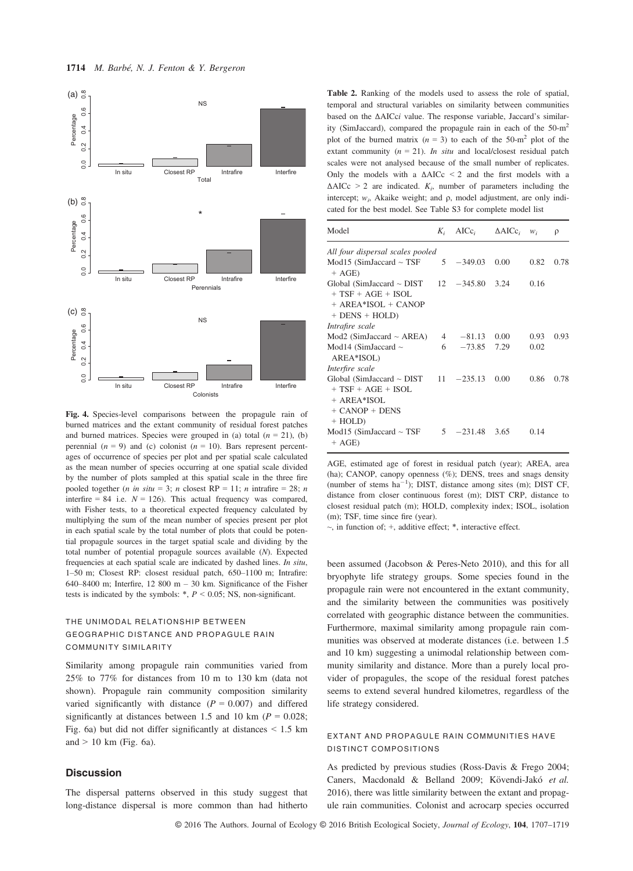

Fig. 4. Species-level comparisons between the propagule rain of burned matrices and the extant community of residual forest patches and burned matrices. Species were grouped in (a) total  $(n = 21)$ , (b) perennial  $(n = 9)$  and (c) colonist  $(n = 10)$ . Bars represent percentages of occurrence of species per plot and per spatial scale calculated as the mean number of species occurring at one spatial scale divided by the number of plots sampled at this spatial scale in the three fire pooled together (*n* in situ = 3; *n* closest RP = 11; *n* intrafire = 28; *n* interfire = 84 i.e.  $N = 126$ ). This actual frequency was compared, with Fisher tests, to a theoretical expected frequency calculated by multiplying the sum of the mean number of species present per plot in each spatial scale by the total number of plots that could be potential propagule sources in the target spatial scale and dividing by the total number of potential propagule sources available (N). Expected frequencies at each spatial scale are indicated by dashed lines. In situ, 1–50 m; Closest RP: closest residual patch, 650–1100 m; Intrafire: 640–8400 m; Interfire, 12 800 m – 30 km. Significance of the Fisher tests is indicated by the symbols:  $*$ ,  $P < 0.05$ ; NS, non-significant.

### THE UNIMODAL RELATIONSHIP BETWEEN GEOGRAPHIC DISTANCE AND PROPAGULE RAIN COMMUNITY SIMILARITY

Similarity among propagule rain communities varied from 25% to 77% for distances from 10 m to 130 km (data not shown). Propagule rain community composition similarity varied significantly with distance  $(P = 0.007)$  and differed significantly at distances between 1.5 and 10 km ( $P = 0.028$ ; Fig. 6a) but did not differ significantly at distances  $\leq 1.5$  km and  $> 10$  km (Fig. 6a).

#### **Discussion**

The dispersal patterns observed in this study suggest that long-distance dispersal is more common than had hitherto Table 2. Ranking of the models used to assess the role of spatial, temporal and structural variables on similarity between communities based on the ΔAICci value. The response variable, Jaccard's similarity (SimJaccard), compared the propagule rain in each of the  $50\text{-m}^2$ plot of the burned matrix  $(n = 3)$  to each of the 50-m<sup>2</sup> plot of the extant community  $(n = 21)$ . In situ and local/closest residual patch scales were not analysed because of the small number of replicates. Only the models with a  $\triangle AICc \leq 2$  and the first models with a  $\triangle$ AICc > 2 are indicated.  $K_i$ , number of parameters including the intercept;  $w_i$ , Akaike weight; and  $\rho$ , model adjustment, are only indicated for the best model. See Table S3 for complete model list

| Model                                                                                                     |    | $K_i$ AICc <sub>i</sub> | $\triangle AICc_i$ | $W_i$ | $\rho$ |  |  |  |  |  |
|-----------------------------------------------------------------------------------------------------------|----|-------------------------|--------------------|-------|--------|--|--|--|--|--|
| All four dispersal scales pooled                                                                          |    |                         |                    |       |        |  |  |  |  |  |
| $Mod15$ (SimJaccard $\sim$ TSF<br>$+ AGE$                                                                 | 5  | $-349.03$               | 0.00               | 0.82  | 0.78   |  |  |  |  |  |
| Global (SimJaccard $\sim$ DIST<br>$+$ TSF $+$ AGE $+$ ISOL<br>$+$ AREA*ISOL + CANOP<br>$+$ DENS $+$ HOLD) |    | $12 -345.80$ 3.24       |                    | 0.16  |        |  |  |  |  |  |
| Intrafire scale                                                                                           |    |                         |                    |       |        |  |  |  |  |  |
| Mod2 (SimJaccard $\sim$ AREA)                                                                             |    | $4 - 81.13$             | 0.00               | 0.93  | 0.93   |  |  |  |  |  |
| Mod14 (SimJaccard $\sim$<br>AREA*ISOL)                                                                    | 6  | $-73.85$                | 7.29               | 0.02  |        |  |  |  |  |  |
| Interfire scale                                                                                           |    |                         |                    |       |        |  |  |  |  |  |
| Global (SimJaccard $\sim$ DIST<br>$+ TSF + AGE + ISOL$<br>+ AREA*ISOL<br>$+$ CANOP $+$ DENS<br>$+$ HOLD)  | 11 | $-235.13$               | 0.00               | 0.86  | 0.78   |  |  |  |  |  |
| $Mod15$ (SimJaccard $\sim$ TSF<br>$+ AGE$                                                                 | 5  | $-231.48$               | 3.65               | 0.14  |        |  |  |  |  |  |

AGE, estimated age of forest in residual patch (year); AREA, area (ha); CANOP, canopy openness (%); DENS, trees and snags density (number of stems  $ha^{-1}$ ); DIST, distance among sites (m); DIST CF, distance from closer continuous forest (m); DIST CRP, distance to closest residual patch (m); HOLD, complexity index; ISOL, isolation (m); TSF, time since fire (year).

~, in function of; +, additive effect; \*, interactive effect.

been assumed (Jacobson & Peres-Neto 2010), and this for all bryophyte life strategy groups. Some species found in the propagule rain were not encountered in the extant community, and the similarity between the communities was positively correlated with geographic distance between the communities. Furthermore, maximal similarity among propagule rain communities was observed at moderate distances (i.e. between 1.5 and 10 km) suggesting a unimodal relationship between community similarity and distance. More than a purely local provider of propagules, the scope of the residual forest patches seems to extend several hundred kilometres, regardless of the life strategy considered.

### EXTANT AND PROPAGULE RAIN COMMUNITIES HAVE DISTINCT COMPOSITIONS

As predicted by previous studies (Ross-Davis & Frego 2004; Caners, Macdonald & Belland 2009; Kövendi-Jakó et al. 2016), there was little similarity between the extant and propagule rain communities. Colonist and acrocarp species occurred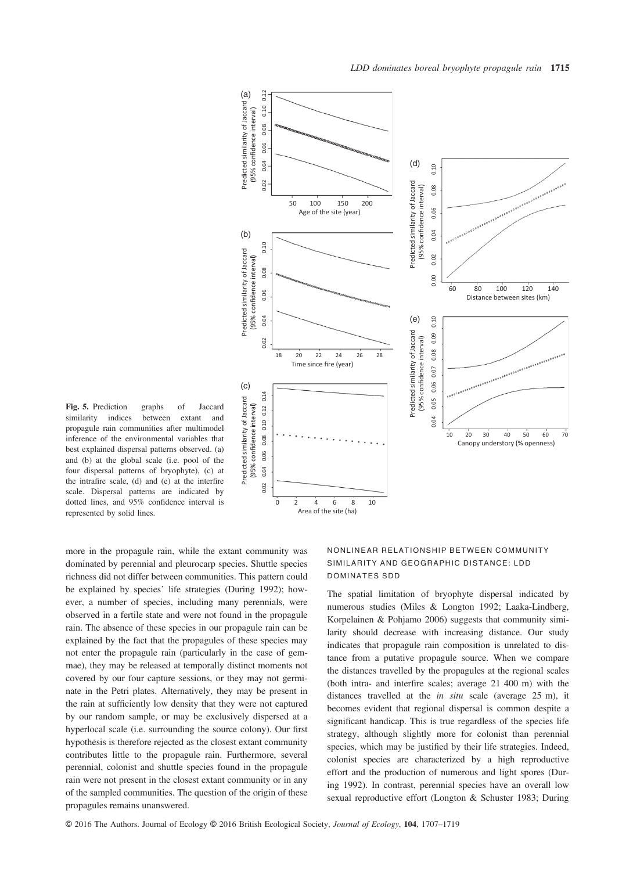

Fig. 5. Prediction graphs of Jaccard<br>similarity indices between extant and between propagule rain communities after multimodel inference of the environmental variables that best explained dispersal patterns observed. (a) and (b) at the global scale (i.e. pool of the four dispersal patterns of bryophyte), (c) at the intrafire scale, (d) and (e) at the interfire scale. Dispersal patterns are indicated by dotted lines, and 95% confidence interval is represented by solid lines.

more in the propagule rain, while the extant community was dominated by perennial and pleurocarp species. Shuttle species richness did not differ between communities. This pattern could be explained by species' life strategies (During 1992); however, a number of species, including many perennials, were observed in a fertile state and were not found in the propagule rain. The absence of these species in our propagule rain can be explained by the fact that the propagules of these species may not enter the propagule rain (particularly in the case of gemmae), they may be released at temporally distinct moments not covered by our four capture sessions, or they may not germinate in the Petri plates. Alternatively, they may be present in the rain at sufficiently low density that they were not captured by our random sample, or may be exclusively dispersed at a hyperlocal scale (i.e. surrounding the source colony). Our first hypothesis is therefore rejected as the closest extant community contributes little to the propagule rain. Furthermore, several perennial, colonist and shuttle species found in the propagule rain were not present in the closest extant community or in any of the sampled communities. The question of the origin of these propagules remains unanswered.

# NONLINEAR RELATIONSHIP BETWEEN COMMUNITY SIMILARITY AND GEOGRAPHIC DISTANCE: LDD DOMINATES SDD

The spatial limitation of bryophyte dispersal indicated by numerous studies (Miles & Longton 1992; Laaka-Lindberg, Korpelainen & Pohjamo 2006) suggests that community similarity should decrease with increasing distance. Our study indicates that propagule rain composition is unrelated to distance from a putative propagule source. When we compare the distances travelled by the propagules at the regional scales (both intra- and interfire scales; average 21 400 m) with the distances travelled at the in situ scale (average 25 m), it becomes evident that regional dispersal is common despite a significant handicap. This is true regardless of the species life strategy, although slightly more for colonist than perennial species, which may be justified by their life strategies. Indeed, colonist species are characterized by a high reproductive effort and the production of numerous and light spores (During 1992). In contrast, perennial species have an overall low sexual reproductive effort (Longton & Schuster 1983; During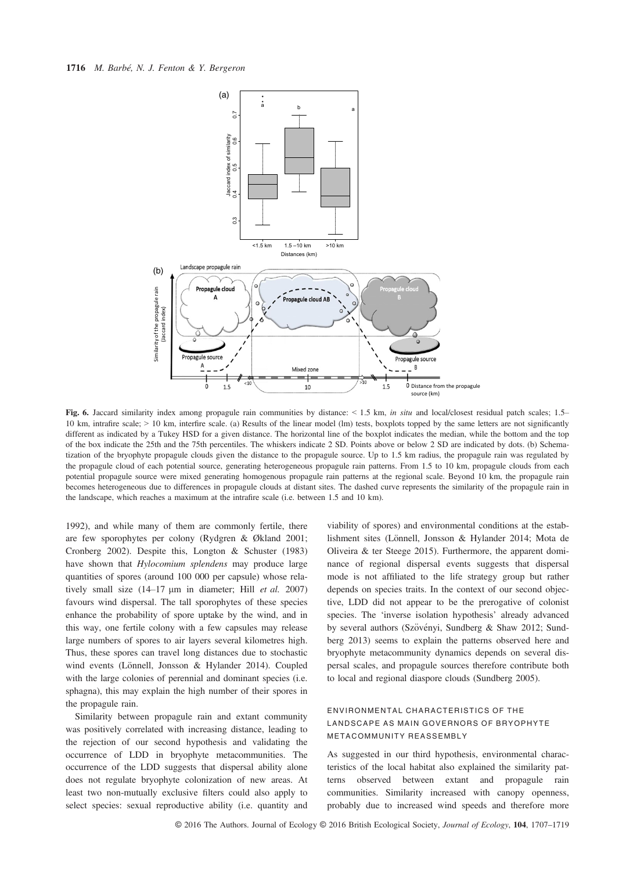

Fig. 6. Jaccard similarity index among propagule rain communities by distance: < 1.5 km, in situ and local/closest residual patch scales; 1.5-10 km, intrafire scale; > 10 km, interfire scale. (a) Results of the linear model (lm) tests, boxplots topped by the same letters are not significantly different as indicated by a Tukey HSD for a given distance. The horizontal line of the boxplot indicates the median, while the bottom and the top of the box indicate the 25th and the 75th percentiles. The whiskers indicate 2 SD. Points above or below 2 SD are indicated by dots. (b) Schematization of the bryophyte propagule clouds given the distance to the propagule source. Up to 1.5 km radius, the propagule rain was regulated by the propagule cloud of each potential source, generating heterogeneous propagule rain patterns. From 1.5 to 10 km, propagule clouds from each potential propagule source were mixed generating homogenous propagule rain patterns at the regional scale. Beyond 10 km, the propagule rain becomes heterogeneous due to differences in propagule clouds at distant sites. The dashed curve represents the similarity of the propagule rain in the landscape, which reaches a maximum at the intrafire scale (i.e. between 1.5 and 10 km).

1992), and while many of them are commonly fertile, there are few sporophytes per colony (Rydgren & Økland 2001; Cronberg 2002). Despite this, Longton & Schuster (1983) have shown that Hylocomium splendens may produce large quantities of spores (around 100 000 per capsule) whose relatively small size  $(14-17 \mu m)$  in diameter; Hill *et al.* 2007) favours wind dispersal. The tall sporophytes of these species enhance the probability of spore uptake by the wind, and in this way, one fertile colony with a few capsules may release large numbers of spores to air layers several kilometres high. Thus, these spores can travel long distances due to stochastic wind events (Lönnell, Jonsson & Hylander 2014). Coupled with the large colonies of perennial and dominant species (i.e. sphagna), this may explain the high number of their spores in the propagule rain.

Similarity between propagule rain and extant community was positively correlated with increasing distance, leading to the rejection of our second hypothesis and validating the occurrence of LDD in bryophyte metacommunities. The occurrence of the LDD suggests that dispersal ability alone does not regulate bryophyte colonization of new areas. At least two non-mutually exclusive filters could also apply to select species: sexual reproductive ability (i.e. quantity and viability of spores) and environmental conditions at the establishment sites (Lönnell, Jonsson & Hylander 2014; Mota de Oliveira & ter Steege 2015). Furthermore, the apparent dominance of regional dispersal events suggests that dispersal mode is not affiliated to the life strategy group but rather depends on species traits. In the context of our second objective, LDD did not appear to be the prerogative of colonist species. The 'inverse isolation hypothesis' already advanced by several authors (Szövényi, Sundberg & Shaw 2012; Sundberg 2013) seems to explain the patterns observed here and bryophyte metacommunity dynamics depends on several dispersal scales, and propagule sources therefore contribute both to local and regional diaspore clouds (Sundberg 2005).

# ENVIRONMENTAL CHARACTERISTICS OF THE LANDSCAPE AS MAIN GOVERNORS OF BRYOPHYTE METACOMMUNITY REASSEMBLY

As suggested in our third hypothesis, environmental characteristics of the local habitat also explained the similarity patterns observed between extant and propagule rain communities. Similarity increased with canopy openness, probably due to increased wind speeds and therefore more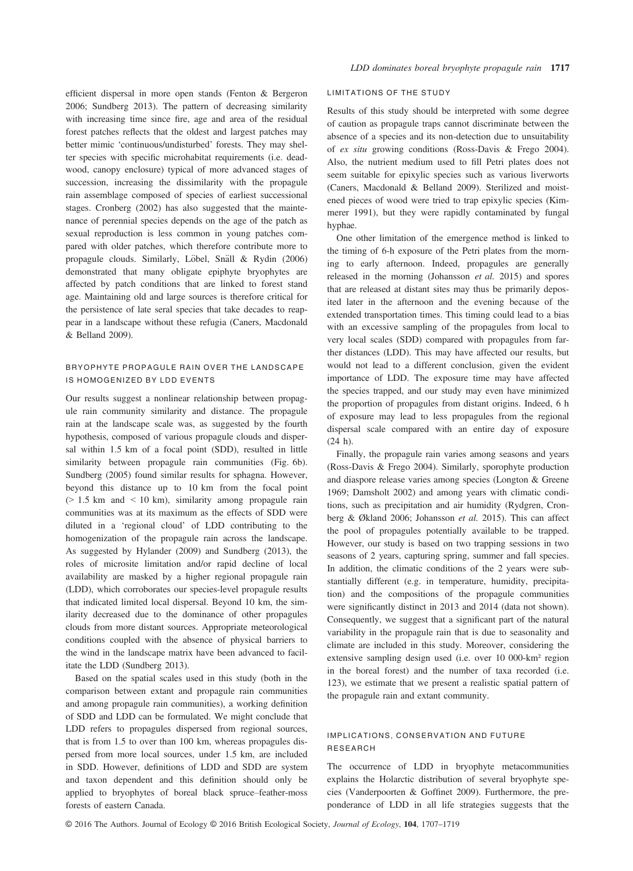efficient dispersal in more open stands (Fenton & Bergeron 2006; Sundberg 2013). The pattern of decreasing similarity with increasing time since fire, age and area of the residual forest patches reflects that the oldest and largest patches may better mimic 'continuous/undisturbed' forests. They may shelter species with specific microhabitat requirements (i.e. deadwood, canopy enclosure) typical of more advanced stages of succession, increasing the dissimilarity with the propagule rain assemblage composed of species of earliest successional stages. Cronberg (2002) has also suggested that the maintenance of perennial species depends on the age of the patch as sexual reproduction is less common in young patches compared with older patches, which therefore contribute more to propagule clouds. Similarly, Löbel, Snäll & Rydin (2006) demonstrated that many obligate epiphyte bryophytes are affected by patch conditions that are linked to forest stand age. Maintaining old and large sources is therefore critical for the persistence of late seral species that take decades to reappear in a landscape without these refugia (Caners, Macdonald & Belland 2009).

### BRYOPHYTE PROPAGULE RAIN OVER THE LANDSCAPE IS HOMOGENIZED BY LDD EVENTS

Our results suggest a nonlinear relationship between propagule rain community similarity and distance. The propagule rain at the landscape scale was, as suggested by the fourth hypothesis, composed of various propagule clouds and dispersal within 1.5 km of a focal point (SDD), resulted in little similarity between propagule rain communities (Fig. 6b). Sundberg (2005) found similar results for sphagna. However, beyond this distance up to 10 km from the focal point  $(> 1.5 \text{ km}$  and  $< 10 \text{ km}$ ), similarity among propagule rain communities was at its maximum as the effects of SDD were diluted in a 'regional cloud' of LDD contributing to the homogenization of the propagule rain across the landscape. As suggested by Hylander (2009) and Sundberg (2013), the roles of microsite limitation and/or rapid decline of local availability are masked by a higher regional propagule rain (LDD), which corroborates our species-level propagule results that indicated limited local dispersal. Beyond 10 km, the similarity decreased due to the dominance of other propagules clouds from more distant sources. Appropriate meteorological conditions coupled with the absence of physical barriers to the wind in the landscape matrix have been advanced to facilitate the LDD (Sundberg 2013).

Based on the spatial scales used in this study (both in the comparison between extant and propagule rain communities and among propagule rain communities), a working definition of SDD and LDD can be formulated. We might conclude that LDD refers to propagules dispersed from regional sources, that is from 1.5 to over than 100 km, whereas propagules dispersed from more local sources, under 1.5 km, are included in SDD. However, definitions of LDD and SDD are system and taxon dependent and this definition should only be applied to bryophytes of boreal black spruce–feather-moss forests of eastern Canada.

#### LIMITATIONS OF THE STUDY

Results of this study should be interpreted with some degree of caution as propagule traps cannot discriminate between the absence of a species and its non-detection due to unsuitability of ex situ growing conditions (Ross-Davis & Frego 2004). Also, the nutrient medium used to fill Petri plates does not seem suitable for epixylic species such as various liverworts (Caners, Macdonald & Belland 2009). Sterilized and moistened pieces of wood were tried to trap epixylic species (Kimmerer 1991), but they were rapidly contaminated by fungal hyphae.

One other limitation of the emergence method is linked to the timing of 6-h exposure of the Petri plates from the morning to early afternoon. Indeed, propagules are generally released in the morning (Johansson et al. 2015) and spores that are released at distant sites may thus be primarily deposited later in the afternoon and the evening because of the extended transportation times. This timing could lead to a bias with an excessive sampling of the propagules from local to very local scales (SDD) compared with propagules from farther distances (LDD). This may have affected our results, but would not lead to a different conclusion, given the evident importance of LDD. The exposure time may have affected the species trapped, and our study may even have minimized the proportion of propagules from distant origins. Indeed, 6 h of exposure may lead to less propagules from the regional dispersal scale compared with an entire day of exposure (24 h).

Finally, the propagule rain varies among seasons and years (Ross-Davis & Frego 2004). Similarly, sporophyte production and diaspore release varies among species (Longton & Greene 1969; Damsholt 2002) and among years with climatic conditions, such as precipitation and air humidity (Rydgren, Cronberg & Økland 2006; Johansson et al. 2015). This can affect the pool of propagules potentially available to be trapped. However, our study is based on two trapping sessions in two seasons of 2 years, capturing spring, summer and fall species. In addition, the climatic conditions of the 2 years were substantially different (e.g. in temperature, humidity, precipitation) and the compositions of the propagule communities were significantly distinct in 2013 and 2014 (data not shown). Consequently, we suggest that a significant part of the natural variability in the propagule rain that is due to seasonality and climate are included in this study. Moreover, considering the extensive sampling design used (i.e. over 10 000-km² region in the boreal forest) and the number of taxa recorded (i.e. 123), we estimate that we present a realistic spatial pattern of the propagule rain and extant community.

#### IMPLICATIONS, CONSERVATION AND FUTURE RESEARCH

The occurrence of LDD in bryophyte metacommunities explains the Holarctic distribution of several bryophyte species (Vanderpoorten & Goffinet 2009). Furthermore, the preponderance of LDD in all life strategies suggests that the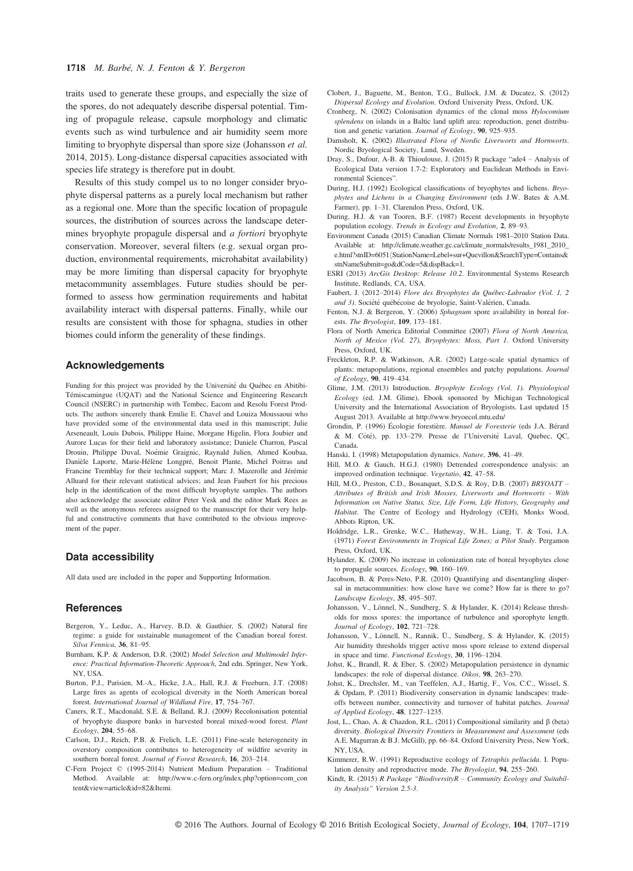traits used to generate these groups, and especially the size of the spores, do not adequately describe dispersal potential. Timing of propagule release, capsule morphology and climatic events such as wind turbulence and air humidity seem more limiting to bryophyte dispersal than spore size (Johansson et al. 2014, 2015). Long-distance dispersal capacities associated with species life strategy is therefore put in doubt.

Results of this study compel us to no longer consider bryophyte dispersal patterns as a purely local mechanism but rather as a regional one. More than the specific location of propagule sources, the distribution of sources across the landscape determines bryophyte propagule dispersal and a fortiori bryophyte conservation. Moreover, several filters (e.g. sexual organ production, environmental requirements, microhabitat availability) may be more limiting than dispersal capacity for bryophyte metacommunity assemblages. Future studies should be performed to assess how germination requirements and habitat availability interact with dispersal patterns. Finally, while our results are consistent with those for sphagna, studies in other biomes could inform the generality of these findings.

#### Acknowledgements

Funding for this project was provided by the Université du Québec en Abitibi-Temiscamingue (UQAT) and the National Science and Engineering Research Council (NSERC) in partnership with Tembec, Eacom and Resolu Forest Products. The authors sincerely thank Emilie E. Chavel and Louiza Moussaoui who have provided some of the environmental data used in this manuscript; Julie Arseneault, Louis Dubois, Philippe Haine, Morgane Higelin, Flora Joubier and Aurore Lucas for their field and laboratory assistance; Daniele Charron, Pascal Drouin, Philippe Duval, Noémie Graignic, Raynald Julien, Ahmed Koubaa, Danièle Laporte, Marie-Hélène Longpré, Benoit Plante, Michel Poitras and Francine Tremblay for their technical support; Marc J. Mazerolle and Jérémie Alluard for their relevant statistical advices; and Jean Faubert for his precious help in the identification of the most difficult bryophyte samples. The authors also acknowledge the associate editor Peter Vesk and the editor Mark Rees as well as the anonymous referees assigned to the manuscript for their very helpful and constructive comments that have contributed to the obvious improvement of the paper.

#### Data accessibility

All data used are included in the paper and Supporting Information.

#### References

- Bergeron, Y., Leduc, A., Harvey, B.D. & Gauthier, S. (2002) Natural fire regime: a guide for sustainable management of the Canadian boreal forest. Silva Fennica, 36, 81–95.
- Burnham, K.P. & Anderson, D.R. (2002) Model Selection and Multimodel Inference: Practical Information-Theoretic Approach, 2nd edn. Springer, New York, NY, USA.
- Burton, P.J., Parisien, M.-A., Hicke, J.A., Hall, R.J. & Freeburn, J.T. (2008) Large fires as agents of ecological diversity in the North American boreal forest. International Journal of Wildland Fire, 17, 754–767.
- Caners, R.T., Macdonald, S.E. & Belland, R.J. (2009) Recolonisation potential of bryophyte diaspore banks in harvested boreal mixed-wood forest. Plant Ecology, 204, 55–68.
- Carlson, D.J., Reich, P.B. & Frelich, L.E. (2011) Fine-scale heterogeneity in overstory composition contributes to heterogeneity of wildfire severity in southern boreal forest. Journal of Forest Research, 16, 203–214.
- C-Fern Project © (1995-2014) Nutrient Medium Preparation Traditional Method. Available at: [http://www.c-fern.org/index.php?option=com\\_con](http://www.c-fern.org/index.php?option=com_content&view=article&id=82&Itemi) [tent&view=article&id=82&Itemi](http://www.c-fern.org/index.php?option=com_content&view=article&id=82&Itemi).
- Clobert, J., Baguette, M., Benton, T.G., Bullock, J.M. & Ducatez, S. (2012) Dispersal Ecology and Evolution. Oxford University Press, Oxford, UK.
- Cronberg, N. (2002) Colonisation dynamics of the clonal moss Hylocomium splendens on islands in a Baltic land uplift area: reproduction, genet distribu-<br>tion and genetic variation. Journal of Ecology, 90, 925-935.
- tion and genetic variation. Journal of Ecology, 90, 925–935.<br>Damsholt, K. (2002) Illustrated Flora of Nordic Liverworts and Hornworts. Nordic Bryological Society, Lund, Sweden.
- Dray, S., Dufour, A-B. & Thioulouse, J. (2015) R package "ade4 Analysis of Ecological Data version 1.7-2: Exploratory and Euclidean Methods in Environmental Sciences".
- During, H.J. (1992) Ecological classifications of bryophytes and lichens. Bryophytes and Lichens in a Changing Environment (eds J.W. Bates & A.M. Farmer), pp. 1–31. Clarendon Press, Oxford, UK.
- During, H.J. & van Tooren, B.F. (1987) Recent developments in bryophyte population ecology. Trends in Ecology and Evolution, 2, 89–93.
- Environment Canada (2015) Canadian Climate Normals 1981–2010 Station Data. Available at: [http://climate.weather.gc.ca/climate\\_normals/results\\_1981\\_2010\\_](http://climate.weather.gc.ca/cli mate_normals/results_1981_2010_e.html?stnID=6051&lang=e&StationName=Lebel+sur+Quevillon&SearchType=Contains&stnNameSubmit=go&dCode=5&dispBack=1) [e.html?stnID=6051](http://climate.weather.gc.ca/cli mate_normals/results_1981_2010_e.html?stnID=6051&lang=e&StationName=Lebel+sur+Quevillon&SearchType=Contains&stnNameSubmit=go&dCode=5&dispBack=1) ([StationName=Lebel+sur+Quevillon&SearchType=Contains&](http://climate.weather.gc.ca/cli mate_normals/results_1981_2010_e.html?stnID=6051&lang=e&StationName=Lebel+sur+Quevillon&SearchType=Contains&stnNameSubmit=go&dCode=5&dispBack=1) [stnNameSubmit=go&dCode=5&dispBack=1](http://climate.weather.gc.ca/cli mate_normals/results_1981_2010_e.html?stnID=6051&lang=e&StationName=Lebel+sur+Quevillon&SearchType=Contains&stnNameSubmit=go&dCode=5&dispBack=1).
- ESRI (2013) ArcGis Desktop: Release 10.2. Environmental Systems Research Institute, Redlands, CA, USA.
- Faubert, J. (2012-2014) Flore des Bryophytes du Québec-Labrador (Vol. 1, 2 and 3). Société québécoise de bryologie, Saint-Valérien, Canada.
- Fenton, N.J. & Bergeron, Y. (2006) Sphagnum spore availability in boreal forests. The Bryologist, 109, 173–181.
- Flora of North America Editorial Committee (2007) Flora of North America, North of Mexico (Vol. 27), Bryophytes: Moss, Part 1. Oxford University Press, Oxford, UK.
- Freckleton, R.P. & Watkinson, A.R. (2002) Large-scale spatial dynamics of plants: metapopulations, regional ensembles and patchy populations. Journal of Ecology, 90, 419–434.
- Glime, J.M. (2013) Introduction. Bryophyte Ecology (Vol. 1). Physiological Ecology (ed. J.M. Glime), Ebook sponsored by Michigan Technological University and the International Association of Bryologists. Last updated 15 August 2013. Available at<http://www.bryoecol.mtu.edu/>
- Grondin, P. (1996) Écologie forestière. Manuel de Foresterie (eds J.A. Bérard & M. C^ote), pp. 133–279. Presse de l'Universite Laval, Quebec, QC, Canada.
- Hanski, I. (1998) Metapopulation dynamics. Nature, 396, 41–49.
- Hill, M.O. & Gauch, H.G.J. (1980) Detrended correspondence analysis: an improved ordination technique. Vegetatio, 42, 47–58.
- Hill, M.O., Preston, C.D., Bosanquet, S.D.S. & Roy, D.B. (2007) BRYOATT Attributes of British and Irish Mosses, Liverworts and Hornworts - With Information on Native Status, Size, Life Form, Life History, Geography and Habitat. The Centre of Ecology and Hydrology (CEH), Monks Wood, Abbots Ripton, UK.
- Holdridge, L.R., Grenke, W.C., Hatheway, W.H., Liang, T. & Tosi, J.A. (1971) Forest Environments in Tropical Life Zones; a Pilot Study. Pergamon Press, Oxford, UK.
- Hylander, K. (2009) No increase in colonization rate of boreal bryophytes close to propagule sources. Ecology, 90, 160–169.
- Jacobson, B. & Peres-Neto, P.R. (2010) Quantifying and disentangling dispersal in metacommunities: how close have we come? How far is there to go? Landscape Ecology, 35, 495–507.
- Johansson, V., Lönnel, N., Sundberg, S. & Hylander, K. (2014) Release thresholds for moss spores: the importance of turbulence and sporophyte length. Journal of Ecology, 102, 721–728.
- Johansson, V., Lönnell, N., Rannik, Ü., Sundberg, S. & Hylander, K. (2015) Air humidity thresholds trigger active moss spore release to extend dispersal in space and time. Functional Ecology, 30, 1196–1204.
- Johst, K., Brandl, R. & Eber, S. (2002) Metapopulation persistence in dynamic landscapes: the role of dispersal distance. Oikos, 98, 263–270.
- Johst, K., Drechsler, M., van Teeffelen, A.J., Hartig, F., Vos, C.C., Wissel, S. & Opdam, P. (2011) Biodiversity conservation in dynamic landscapes: tradeoffs between number, connectivity and turnover of habitat patches. Journal of Applied Ecology, 48, 1227–1235.
- Jost, L., Chao, A. & Chazdon, R.L. (2011) Compositional similarity and  $\beta$  (beta) diversity. Biological Diversity Frontiers in Measurement and Assessment (eds A.E. Magurran & B.J. McGill), pp. 66–84. Oxford University Press, New York, NY, USA.
- Kimmerer, R.W. (1991) Reproductive ecology of Tetraphis pellucida. I. Population density and reproductive mode. The Bryologist, 94, 255–260.
- Kindt, R. (2015) R Package "BiodiversityR Community Ecology and Suitability Analysis" Version 2.5-3.